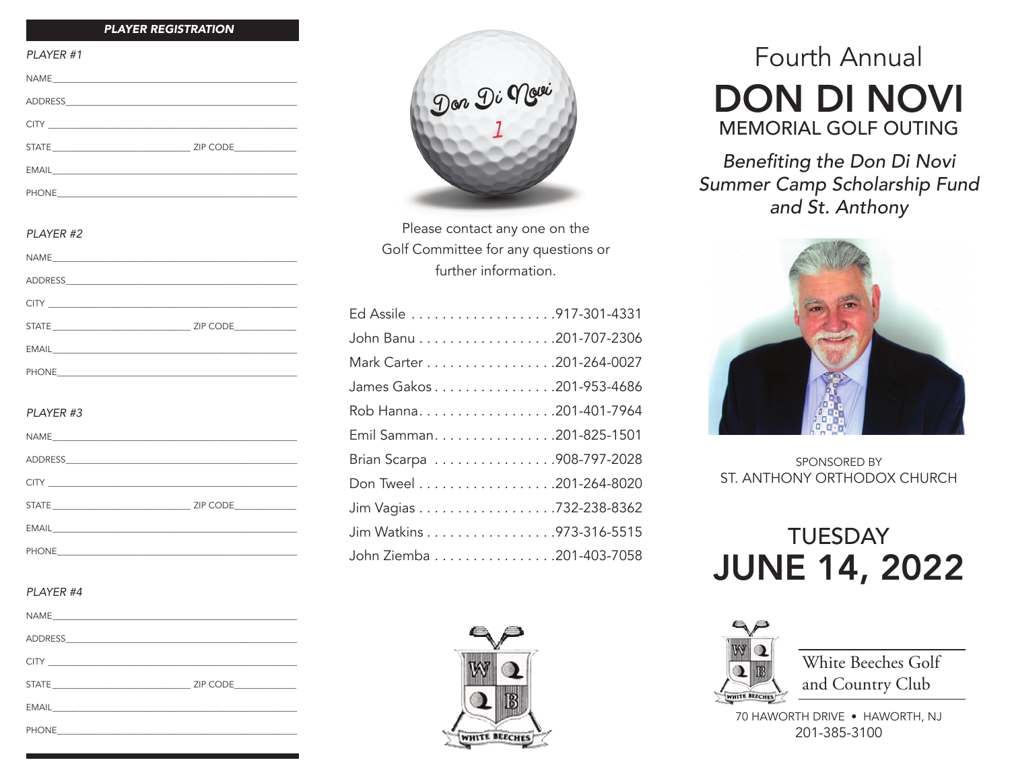#### *PLAYER REGISTRATION*

| PLAYER #1             |  |
|-----------------------|--|
|                       |  |
|                       |  |
| <b>CITY CITY CITY</b> |  |
|                       |  |
|                       |  |
|                       |  |
|                       |  |
| PI AYFR #2            |  |
|                       |  |
|                       |  |
|                       |  |
|                       |  |
|                       |  |
|                       |  |
|                       |  |
| PLAYER #3             |  |
|                       |  |
|                       |  |
|                       |  |
|                       |  |
|                       |  |

#### *PLAYER #4*

| $\begin{picture}(180,10) \put(0,0){\dashbox{0.5}(10,0){ }} \put(10,0){\dashbox{0.5}(10,0){ }} \put(10,0){\dashbox{0.5}(10,0){ }} \put(10,0){\dashbox{0.5}(10,0){ }} \put(10,0){\dashbox{0.5}(10,0){ }} \put(10,0){\dashbox{0.5}(10,0){ }} \put(10,0){\dashbox{0.5}(10,0){ }} \put(10,0){\dashbox{0.5}(10,0){ }} \put(10,0){\dashbox{0.5}(10,0){ }} \put(10,0){\dashbox$ | ZIP CODE |
|-------------------------------------------------------------------------------------------------------------------------------------------------------------------------------------------------------------------------------------------------------------------------------------------------------------------------------------------------------------------------|----------|
|                                                                                                                                                                                                                                                                                                                                                                         |          |
| <b>PHONE</b><br>the control of the control of the control of the control of the control of                                                                                                                                                                                                                                                                              |          |

PHONE\_\_\_\_\_\_\_\_\_\_\_\_\_\_\_\_\_\_\_\_\_\_\_\_\_\_\_\_\_\_\_\_\_\_\_\_\_\_\_\_\_\_\_\_\_\_\_\_\_\_\_\_\_\_



Please contact any one on the Golf Committee for any questions or further information.

| John Banu 201-707-2306    |
|---------------------------|
| Mark Carter 201-264-0027  |
| James Gakos 201-953-4686  |
|                           |
| Emil Samman. 201-825-1501 |
| Brian Scarpa 908-797-2028 |
|                           |
| Jim Vagias 732-238-8362   |
| Jim Watkins 973-316-5515  |
| John Ziemba 201-403-7058  |



# Fourth Annual DON DI NOVI MEMORIAL GOLF OUTING

Benefiting the Don Di Novi Summer Camp Scholarship Fund and St. Anthony



SPONSORED BY ST. ANTHONY ORTHODOX CHURCH

# **TUESDAY** JUNE 14, 2022



White Beeches Golf and Country Club

70 HAWORTH DRIVE • HAWORTH, NJ 201-385-3100